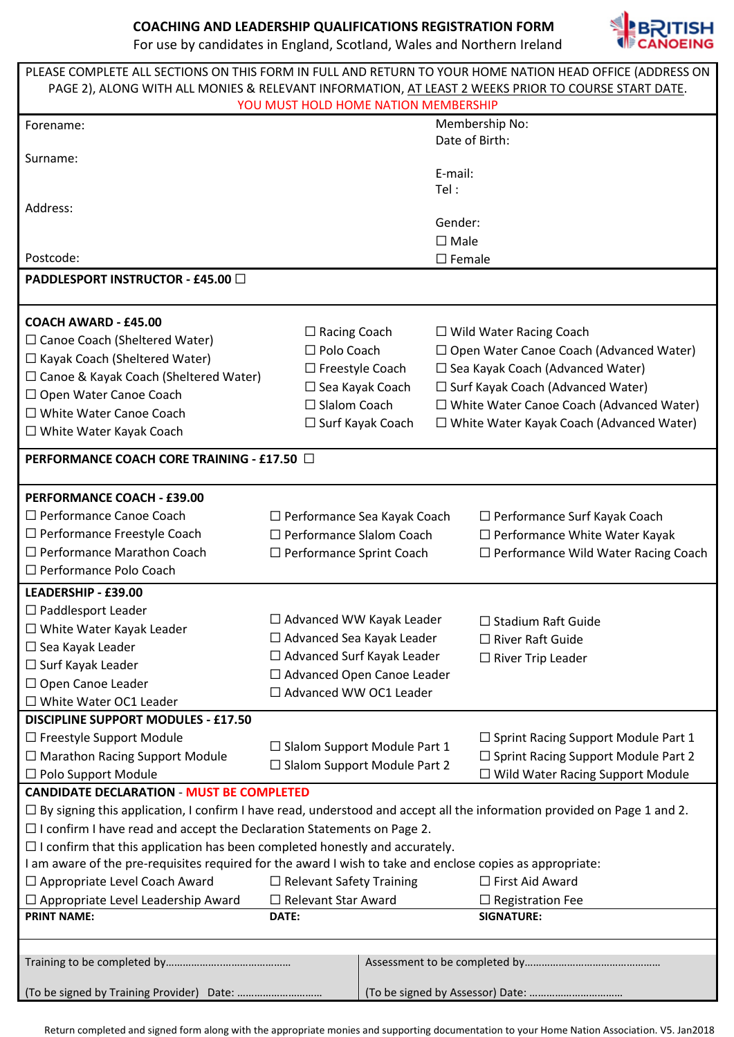**COACHING AND LEADERSHIP QUALIFICATIONS REGISTRATION FORM**<br>For use by candidates in England, Scotland, Wales and Northern Ireland For use by candidates in England, Scotland, Wales and Northern Ireland



| For use by candidates in England, Scotland, Wales and Northern Ireland                                   | <b>NE CANOEING</b> |
|----------------------------------------------------------------------------------------------------------|--------------------|
| PLEASE COMPLETE ALL SECTIONS ON THIS FORM IN FULL AND RETURN TO YOUR HOME NATION HEAD OFFICE (ADDRESS ON |                    |
| PAGE 2), ALONG WITH ALL MONIES & RELEVANT INFORMATION, AT LEAST 2 WEEKS PRIOR TO COURSE START DATE.      |                    |
| VOLLMUST HOLD HOME NATION MEMBERSHIP                                                                     |                    |

| YOU MUST HOLD HOME NATION MEMBERSHIP                                                                                           |                                                                               |                                                                                      |                  |                                                 |  |  |
|--------------------------------------------------------------------------------------------------------------------------------|-------------------------------------------------------------------------------|--------------------------------------------------------------------------------------|------------------|-------------------------------------------------|--|--|
| Forename:                                                                                                                      |                                                                               | Membership No:                                                                       |                  |                                                 |  |  |
|                                                                                                                                |                                                                               |                                                                                      | Date of Birth:   |                                                 |  |  |
| Surname:                                                                                                                       |                                                                               |                                                                                      |                  |                                                 |  |  |
|                                                                                                                                |                                                                               |                                                                                      | E-mail:          |                                                 |  |  |
|                                                                                                                                |                                                                               |                                                                                      | Tel:             |                                                 |  |  |
| Address:                                                                                                                       |                                                                               |                                                                                      |                  |                                                 |  |  |
|                                                                                                                                |                                                                               |                                                                                      | Gender:          |                                                 |  |  |
|                                                                                                                                |                                                                               |                                                                                      | $\square$ Male   |                                                 |  |  |
| Postcode:                                                                                                                      |                                                                               |                                                                                      | $\square$ Female |                                                 |  |  |
|                                                                                                                                |                                                                               |                                                                                      |                  |                                                 |  |  |
| <b>PADDLESPORT INSTRUCTOR - £45.00 □</b>                                                                                       |                                                                               |                                                                                      |                  |                                                 |  |  |
|                                                                                                                                |                                                                               |                                                                                      |                  |                                                 |  |  |
| <b>COACH AWARD - £45.00</b>                                                                                                    |                                                                               |                                                                                      |                  |                                                 |  |  |
| $\Box$ Canoe Coach (Sheltered Water)                                                                                           | $\Box$ Racing Coach                                                           |                                                                                      |                  | $\Box$ Wild Water Racing Coach                  |  |  |
|                                                                                                                                | $\Box$ Polo Coach                                                             | □ Open Water Canoe Coach (Advanced Water)<br>$\Box$ Sea Kayak Coach (Advanced Water) |                  |                                                 |  |  |
| $\Box$ Kayak Coach (Sheltered Water)                                                                                           | $\Box$ Freestyle Coach                                                        |                                                                                      |                  |                                                 |  |  |
| $\Box$ Canoe & Kayak Coach (Sheltered Water)                                                                                   |                                                                               | $\Box$ Sea Kayak Coach<br>$\Box$ Surf Kayak Coach (Advanced Water)                   |                  |                                                 |  |  |
| □ Open Water Canoe Coach                                                                                                       | $\Box$ Slalom Coach                                                           |                                                                                      |                  | $\Box$ White Water Canoe Coach (Advanced Water) |  |  |
| $\Box$ White Water Canoe Coach                                                                                                 |                                                                               |                                                                                      |                  |                                                 |  |  |
| $\Box$ White Water Kayak Coach                                                                                                 | $\Box$ Surf Kayak Coach                                                       |                                                                                      |                  | $\Box$ White Water Kayak Coach (Advanced Water) |  |  |
|                                                                                                                                |                                                                               |                                                                                      |                  |                                                 |  |  |
| PERFORMANCE COACH CORE TRAINING - £17.50 □                                                                                     |                                                                               |                                                                                      |                  |                                                 |  |  |
|                                                                                                                                |                                                                               |                                                                                      |                  |                                                 |  |  |
| <b>PERFORMANCE COACH - £39.00</b>                                                                                              |                                                                               |                                                                                      |                  |                                                 |  |  |
| □ Performance Canoe Coach                                                                                                      |                                                                               |                                                                                      |                  | $\Box$ Performance Surf Kayak Coach             |  |  |
| $\Box$ Performance Freestyle Coach                                                                                             | $\Box$ Performance Sea Kayak Coach<br>$\Box$ Performance Slalom Coach         |                                                                                      |                  | $\Box$ Performance White Water Kayak            |  |  |
|                                                                                                                                |                                                                               |                                                                                      |                  |                                                 |  |  |
| $\Box$ Performance Marathon Coach                                                                                              | $\Box$ Performance Wild Water Racing Coach<br>$\Box$ Performance Sprint Coach |                                                                                      |                  |                                                 |  |  |
| □ Performance Polo Coach                                                                                                       |                                                                               |                                                                                      |                  |                                                 |  |  |
| LEADERSHIP - £39.00                                                                                                            |                                                                               |                                                                                      |                  |                                                 |  |  |
| $\Box$ Paddlesport Leader                                                                                                      |                                                                               |                                                                                      |                  |                                                 |  |  |
| $\Box$ White Water Kayak Leader                                                                                                | $\Box$ Advanced WW Kayak Leader<br>$\Box$ Stadium Raft Guide                  |                                                                                      |                  |                                                 |  |  |
| $\Box$ Sea Kayak Leader                                                                                                        | $\Box$ Advanced Sea Kayak Leader                                              |                                                                                      |                  | $\Box$ River Raft Guide                         |  |  |
|                                                                                                                                |                                                                               | □ Advanced Surf Kayak Leader<br>$\Box$ River Trip Leader                             |                  |                                                 |  |  |
| $\Box$ Surf Kayak Leader                                                                                                       | □ Advanced Open Canoe Leader                                                  |                                                                                      |                  |                                                 |  |  |
| $\Box$ Open Canoe Leader                                                                                                       | $\Box$ Advanced WW OC1 Leader                                                 |                                                                                      |                  |                                                 |  |  |
| □ White Water OC1 Leader                                                                                                       |                                                                               |                                                                                      |                  |                                                 |  |  |
| <b>DISCIPLINE SUPPORT MODULES - £17.50</b>                                                                                     |                                                                               |                                                                                      |                  |                                                 |  |  |
| $\Box$ Freestyle Support Module                                                                                                |                                                                               |                                                                                      |                  | $\Box$ Sprint Racing Support Module Part 1      |  |  |
| $\Box$ Marathon Racing Support Module                                                                                          | $\Box$ Slalom Support Module Part 1                                           |                                                                                      |                  | $\Box$ Sprint Racing Support Module Part 2      |  |  |
| $\Box$ Polo Support Module                                                                                                     | □ Slalom Support Module Part 2                                                |                                                                                      |                  | $\Box$ Wild Water Racing Support Module         |  |  |
| <b>CANDIDATE DECLARATION - MUST BE COMPLETED</b>                                                                               |                                                                               |                                                                                      |                  |                                                 |  |  |
|                                                                                                                                |                                                                               |                                                                                      |                  |                                                 |  |  |
| $\Box$ By signing this application, I confirm I have read, understood and accept all the information provided on Page 1 and 2. |                                                                               |                                                                                      |                  |                                                 |  |  |
| $\Box$ I confirm I have read and accept the Declaration Statements on Page 2.                                                  |                                                                               |                                                                                      |                  |                                                 |  |  |
| $\Box$ I confirm that this application has been completed honestly and accurately.                                             |                                                                               |                                                                                      |                  |                                                 |  |  |
| I am aware of the pre-requisites required for the award I wish to take and enclose copies as appropriate:                      |                                                                               |                                                                                      |                  |                                                 |  |  |
| □ Appropriate Level Coach Award                                                                                                | $\Box$ Relevant Safety Training                                               |                                                                                      |                  | □ First Aid Award                               |  |  |
| $\Box$ Appropriate Level Leadership Award                                                                                      | $\Box$ Relevant Star Award                                                    |                                                                                      |                  | $\Box$ Registration Fee                         |  |  |
| <b>PRINT NAME:</b>                                                                                                             | DATE:<br><b>SIGNATURE:</b>                                                    |                                                                                      |                  |                                                 |  |  |
|                                                                                                                                |                                                                               |                                                                                      |                  |                                                 |  |  |
|                                                                                                                                |                                                                               |                                                                                      |                  |                                                 |  |  |
|                                                                                                                                |                                                                               |                                                                                      |                  |                                                 |  |  |
|                                                                                                                                |                                                                               |                                                                                      |                  |                                                 |  |  |
| (To be signed by Training Provider) Date:                                                                                      |                                                                               |                                                                                      |                  |                                                 |  |  |

Return completed and signed form along with the appropriate monies and supporting documentation to your Home Nation Association. V5. Jan2018